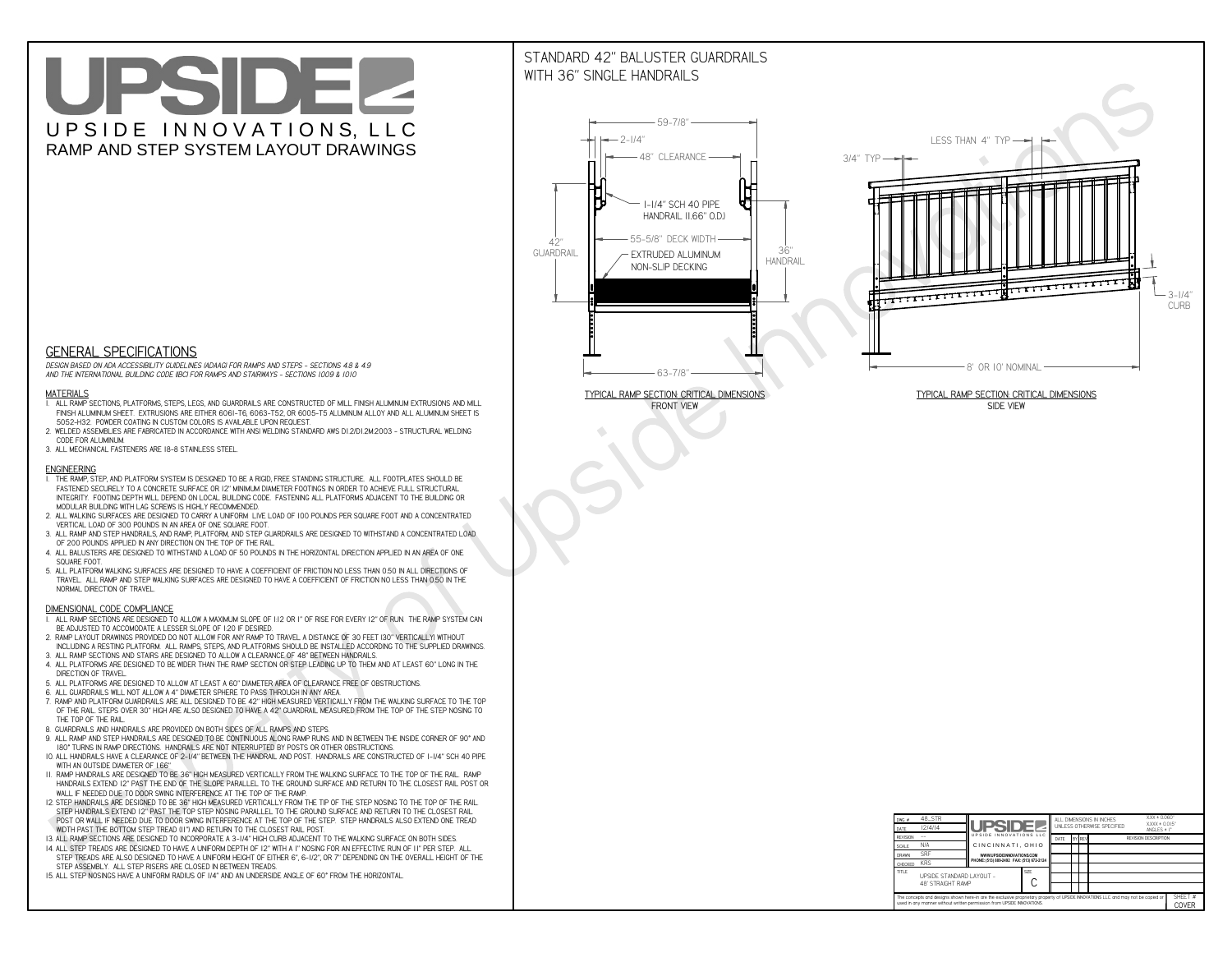# UPSIDEL UPSIDE INNOVATIONS, LLC RAMP AND STEP SYSTEM LAYOUT DRAWINGS

## STANDARD 42" BALUSTER GUARDRAILSWITH 36" SINGLE HANDRAILS

**FRONT VIEW**





**GENERAL SPECIFICATIONS**

 *DESIGN BASED ON ADA ACCESSIBILITY GUIDELINES (ADAAG) FOR RAMPS AND STEPS - SECTIONS 4.8 & 4.9AND THE INTERNATIONAL BUILDING CODE (IBC) FOR RAMPS AND STAIRWAYS - SECTIONS 1009 & 1010*

#### **MATERIALS**

- **1. ALL RAMP SECTIONS, PLATFORMS, STEPS, LEGS, AND GUARDRAILS ARE CONSTRUCTED OF MILL FINISH ALUMINUM EXTRUSIONS AND MILL FINISH ALUMINUM SHEET. EXTRUSIONS ARE EITHER 6061-T6, 6063-T52, OR 6005-T5 ALUMINUM ALLOY AND ALL ALUMINUM SHEET IS 5052-H32. POWDER COATING IN CUSTOM COLORS IS AVAILABLE UPON REQUEST.**
- **2. WELDED ASSEMBLIES ARE FABRICATED IN ACCORDANCE WITH ANSI WELDING STANDARD AWS D1.2/D1.2M:2003 STRUCTURAL WELDING CODE FOR ALUMINUM.**
- **3. ALL MECHANICAL FASTENERS ARE 18-8 STAINLESS STEEL.**

#### **ENGINEERING**

- **1. THE RAMP, STEP, AND PLATFORM SYSTEM IS DESIGNED TO BE A RIGID, FREE STANDING STRUCTURE. ALL FOOTPLATES SHOULD BE FASTENED SECURELY TO A CONCRETE SURFACE OR 12" MINIMUM DIAMETER FOOTINGS IN ORDER TO ACHIEVE FULL STRUCTURAL INTEGRITY. FOOTING DEPTH WILL DEPEND ON LOCAL BUILDING CODE. FASTENING ALL PLATFORMS ADJACENT TO THE BUILDING OR MODULAR BUILDING WITH LAG SCREWS IS HIGHLY RECOMMENDED.**
- **2. ALL WALKING SURFACES ARE DESIGNED TO CARRY A UNIFORM LIVE LOAD OF 100 POUNDS PER SQUARE FOOT AND A CONCENTRATED VERTICAL LOAD OF 300 POUNDS IN AN AREA OF ONE SQUARE FOOT.**
- **3. ALL RAMP AND STEP HANDRAILS, AND RAMP, PLATFORM, AND STEP GUARDRAILS ARE DESIGNED TO WITHSTAND A CONCENTRATED LOAD OF 200 POUNDS APPLIED IN ANY DIRECTION ON THE TOP OF THE RAIL.**
- **4. ALL BALUSTERS ARE DESIGNED TO WITHSTAND A LOAD OF 50 POUNDS IN THE HORIZONTAL DIRECTION APPLIED IN AN AREA OF ONE SQUARE FOOT.**
- **5. ALL PLATFORM WALKING SURFACES ARE DESIGNED TO HAVE A COEFFICIENT OF FRICTION NO LESS THAN 0.50 IN ALL DIRECTIONS OF TRAVEL. ALL RAMP AND STEP WALKING SURFACES ARE DESIGNED TO HAVE A COEFFICIENT OF FRICTION NO LESS THAN 0.50 IN THE NORMAL DIRECTION OF TRAVEL.**

| $DWG.$ #<br>DATE                                                                                                                                                                                            | 48_STR<br>12/4/14                             | UPSIDEL                                   |  | ALL DIMENSIONS IN INCHES<br>UNI FSS OTHERWISE SPECIFIED |  |               | $XXX = 0.060"$<br>$XXX \pm 0.015$ "<br>ANGLES $\pm$ 1° |                             |                  |  |
|-------------------------------------------------------------------------------------------------------------------------------------------------------------------------------------------------------------|-----------------------------------------------|-------------------------------------------|--|---------------------------------------------------------|--|---------------|--------------------------------------------------------|-----------------------------|------------------|--|
| <b>REVISION</b>                                                                                                                                                                                             |                                               | UPSIDE INNOVATIONS LLC                    |  | DATE                                                    |  | <b>BY REV</b> |                                                        | <b>REVISION DESCRIPTION</b> |                  |  |
| <b>SCALE</b>                                                                                                                                                                                                | N/A                                           | CINCINNATI, OHIO                          |  |                                                         |  |               |                                                        |                             |                  |  |
| <b>DRAWN</b>                                                                                                                                                                                                | <b>SRF</b>                                    | WWW.UPSIDEINNOVATIONS.COM                 |  |                                                         |  |               |                                                        |                             |                  |  |
| CHECKED                                                                                                                                                                                                     | <b>KRS</b>                                    | PHONE: (513) 889-2492 FAX: (513) 672-2124 |  |                                                         |  |               |                                                        |                             |                  |  |
| <b>TITLE</b>                                                                                                                                                                                                | UPSIDE STANDARD LAYOUT -<br>48' STRAIGHT RAMP |                                           |  |                                                         |  |               |                                                        |                             |                  |  |
| The concepts and designs shown here-in are the exclusive proprietary property of UPSIDE INNOVATIONS LLC. and may not be copied or<br>used in any manner without written permission from UPSIDE INNOVATIONS. |                                               |                                           |  |                                                         |  |               |                                                        |                             | SHEET #<br>COVER |  |

### **DIMENSIONAL CODE COMPLIANCE**

- **1. ALL RAMP SECTIONS ARE DESIGNED TO ALLOW A MAXIMUM SLOPE OF 1:12 OR 1" OF RISE FOR EVERY 12" OF RUN. THE RAMP SYSTEM CAN BE ADJUSTED TO ACCOMODATE A LESSER SLOPE OF 1:20 IF DESIRED.**
- **2. RAMP LAYOUT DRAWINGS PROVIDED DO NOT ALLOW FOR ANY RAMP TO TRAVEL A DISTANCE OF 30 FEET (30" VERTICALLY) WITHOUT INCLUDING A RESTING PLATFORM. ALL RAMPS, STEPS, AND PLATFORMS SHOULD BE INSTALLED ACCORDING TO THE SUPPLIED DRAWINGS.**
- **3. ALL RAMP SECTIONS AND STAIRS ARE DESIGNED TO ALLOW A CLEARANCE OF 48" BETWEEN HANDRAILS.**
- **4. ALL PLATFORMS ARE DESIGNED TO BE WIDER THAN THE RAMP SECTION OR STEP LEADING UP TO THEM AND AT LEAST 60" LONG IN THE DIRECTION OF TRAVEL.**
- **5. ALL PLATFORMS ARE DESIGNED TO ALLOW AT LEAST A 60" DIAMETER AREA OF CLEARANCE FREE OF OBSTRUCTIONS.**
- **6. ALL GUARDRAILS WILL NOT ALLOW A 4" DIAMETER SPHERE TO PASS THROUGH IN ANY AREA.**
- **7. RAMP AND PLATFORM GUARDRAILS ARE ALL DESIGNED TO BE 42" HIGH MEASURED VERTICALLY FROM THE WALKING SURFACE TO THE TOP OF THE RAIL. STEPS OVER 30" HIGH ARE ALSO DESIGNED TO HAVE A 42" GUARDRAIL MEASURED FROM THE TOP OF THE STEP NOSING TO THE TOP OF THE RAIL.**
- **8. GUARDRAILS AND HANDRAILS ARE PROVIDED ON BOTH SIDES OF ALL RAMPS AND STEPS.**
- **9. ALL RAMP AND STEP HANDRAILS ARE DESIGNED TO BE CONTINUOUS ALONG RAMP RUNS AND IN BETWEEN THE INSIDE CORNER OF 90° AND 180° TURNS IN RAMP DIRECTIONS. HANDRAILS ARE NOT INTERRUPTED BY POSTS OR OTHER OBSTRUCTIONS.**
- **10. ALL HANDRAILS HAVE A CLEARANCE OF 2-1/4" BETWEEN THE HANDRAIL AND POST. HANDRAILS ARE CONSTRUCTED OF 1-1/4" SCH 40 PIPE WITH AN OUTSIDE DIAMETER OF 1.66"**
- **11. RAMP HANDRAILS ARE DESIGNED TO BE 36" HIGH MEASURED VERTICALLY FROM THE WALKING SURFACE TO THE TOP OF THE RAIL. RAMP HANDRAILS EXTEND 12" PAST THE END OF THE SLOPE PARALLEL TO THE GROUND SURFACE AND RETURN TO THE CLOSEST RAIL POST OR WALL IF NEEDED DUE TO DOOR SWING INTERFERENCE AT THE TOP OF THE RAMP.**
- **12. STEP HANDRAILS ARE DESIGNED TO BE 36" HIGH MEASURED VERTICALLY FROM THE TIP OF THE STEP NOSING TO THE TOP OF THE RAIL. STEP HANDRAILS EXTEND 12" PAST THE TOP STEP NOSING PARALLEL TO THE GROUND SURFACE AND RETURN TO THE CLOSEST RAIL POST OR WALL IF NEEDED DUE TO DOOR SWING INTERFERENCE AT THE TOP OF THE STEP. STEP HANDRAILS ALSO EXTEND ONE TREAD**
- **WIDTH PAST THE BOTTOM STEP TREAD (11") AND RETURN TO THE CLOSEST RAIL POST.**
- **13. ALL RAMP SECTIONS ARE DESIGNED TO INCORPORATE A 3-1/4" HIGH CURB ADJACENT TO THE WALKING SURFACE ON BOTH SIDES.**
- **14. ALL STEP TREADS ARE DESIGNED TO HAVE A UNIFORM DEPTH OF 12" WITH A 1" NOSING FOR AN EFFECTIVE RUN OF 11" PER STEP. ALL STEP TREADS ARE ALSO DESIGNED TO HAVE A UNIFORM HEIGHT OF EITHER 6", 6-1/2", OR 7" DEPENDING ON THE OVERALL HEIGHT OF THE STEP ASSEMBLY. ALL STEP RISERS ARE CLOSED IN BETWEEN TREADS.**
- **15. ALL STEP NOSINGS HAVE A UNIFORM RADIUS OF 1/4" AND AN UNDERSIDE ANGLE OF 60° FROM THE HORIZONTAL.**